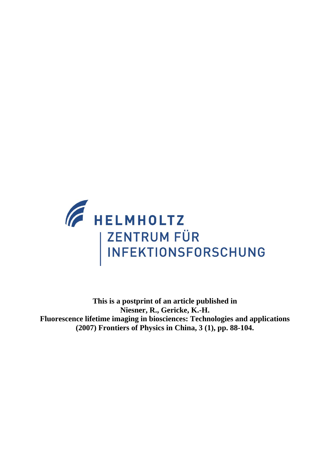

**This is a postprint of an article published in Niesner, R., Gericke, K.-H. Fluorescence lifetime imaging in biosciences: Technologies and applications (2007) Frontiers of Physics in China, 3 (1), pp. 88-104.**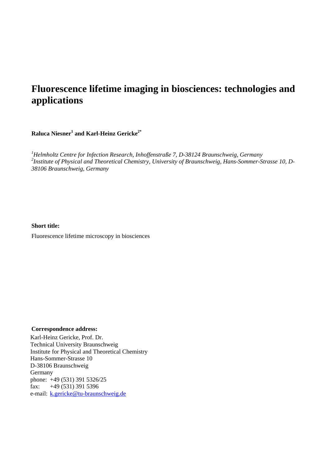# **Fluorescence lifetime imaging in biosciences: technologies and applications**

 $\mathbf R$ aluca Niesner $^1$  and Karl-Heinz Gericke $^{2^*}$ 

*1 Helmholtz Centre for Infection Research, Inhoffenstraße 7, D-38124 Braunschweig, Germany 2 Institute of Physical and Theoretical Chemistry, University of Braunschweig, Hans-Sommer-Strasse 10, D-38106 Braunschweig, Germany* 

**Short title:**  Fluorescence lifetime microscopy in biosciences

#### **Correspondence address:**

Karl-Heinz Gericke, Prof. Dr. Technical University Braunschweig Institute for Physical and Theoretical Chemistry Hans-Sommer-Strasse 10 D-38106 Braunschweig Germany phone: +49 (531) 391 5326/25 fax:  $+49(531)3915396$ e-mail: [k.gericke@tu-braunschweig.de](mailto:k.gericke@tu-braunschweig.de)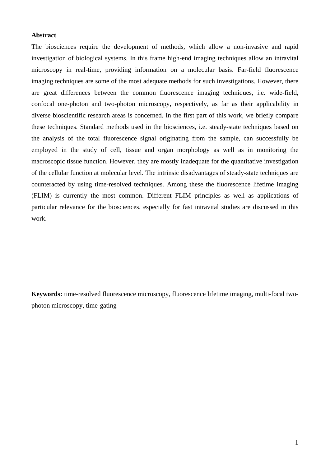#### **Abstract**

The biosciences require the development of methods, which allow a non-invasive and rapid investigation of biological systems. In this frame high-end imaging techniques allow an intravital microscopy in real-time, providing information on a molecular basis. Far-field fluorescence imaging techniques are some of the most adequate methods for such investigations. However, there are great differences between the common fluorescence imaging techniques, i.e. wide-field, confocal one-photon and two-photon microscopy, respectively, as far as their applicability in diverse bioscientific research areas is concerned. In the first part of this work, we briefly compare these techniques. Standard methods used in the biosciences, i.e. steady-state techniques based on the analysis of the total fluorescence signal originating from the sample, can successfully be employed in the study of cell, tissue and organ morphology as well as in monitoring the macroscopic tissue function. However, they are mostly inadequate for the quantitative investigation of the cellular function at molecular level. The intrinsic disadvantages of steady-state techniques are counteracted by using time-resolved techniques. Among these the fluorescence lifetime imaging (FLIM) is currently the most common. Different FLIM principles as well as applications of particular relevance for the biosciences, especially for fast intravital studies are discussed in this work.

**Keywords:** time-resolved fluorescence microscopy, fluorescence lifetime imaging, multi-focal twophoton microscopy, time-gating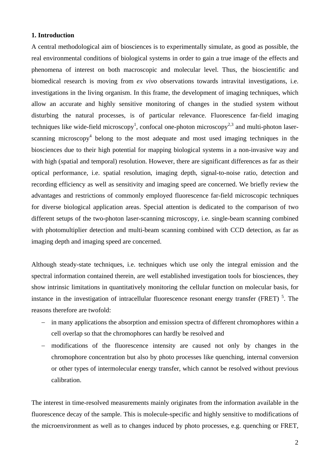### **1. Introduction**

A central methodological aim of biosciences is to experimentally simulate, as good as possible, the real environmental conditions of biological systems in order to gain a true image of the effects and phenomena of interest on both macroscopic and molecular level. Thus, the bioscientific and biomedical research is moving from *ex vivo* observations towards intravital investigations, i.e. investigations in the living organism. In this frame, the development of imaging techniques, which allow an accurate and highly sensitive monitoring of changes in the studied system without disturbing the natural processes, is of particular relevance. Fluorescence far-field imaging techniques like wide-field microscopy<sup>1</sup>, confocal one-photon microscopy<sup>2,3</sup> and multi-photon laserscanning microscopy<sup>4</sup> belong to the most adequate and most used imaging techniques in the biosciences due to their high potential for mapping biological systems in a non-invasive way and with high (spatial and temporal) resolution. However, there are significant differences as far as their optical performance, i.e. spatial resolution, imaging depth, signal-to-noise ratio, detection and recording efficiency as well as sensitivity and imaging speed are concerned. We briefly review the advantages and restrictions of commonly employed fluorescence far-field microscopic techniques for diverse biological application areas. Special attention is dedicated to the comparison of two different setups of the two-photon laser-scanning microscopy, i.e. single-beam scanning combined with photomultiplier detection and multi-beam scanning combined with CCD detection, as far as imaging depth and imaging speed are concerned.

Although steady-state techniques, i.e. techniques which use only the integral emission and the spectral information contained therein, are well established investigation tools for biosciences, they show intrinsic limitations in quantitatively monitoring the cellular function on molecular basis, for instance in the investigation of intracellular fluorescence resonant energy transfer (FRET)<sup>5</sup>. The reasons therefore are twofold:

- − in many applications the absorption and emission spectra of different chromophores within a cell overlap so that the chromophores can hardly be resolved and
- − modifications of the fluorescence intensity are caused not only by changes in the chromophore concentration but also by photo processes like quenching, internal conversion or other types of intermolecular energy transfer, which cannot be resolved without previous calibration.

The interest in time-resolved measurements mainly originates from the information available in the fluorescence decay of the sample. This is molecule-specific and highly sensitive to modifications of the microenvironment as well as to changes induced by photo processes, e.g. quenching or FRET,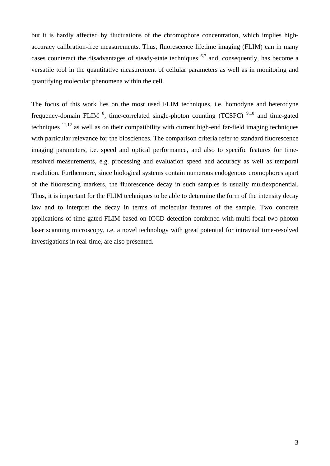but it is hardly affected by fluctuations of the chromophore concentration, which implies highaccuracy calibration-free measurements. Thus, fluorescence lifetime imaging (FLIM) can in many cases counteract the disadvantages of steady-state techniques  $6,7$  and, consequently, has become a versatile tool in the quantitative measurement of cellular parameters as well as in monitoring and quantifying molecular phenomena within the cell.

The focus of this work lies on the most used FLIM techniques, i.e. homodyne and heterodyne frequency-domain FLIM  $^{8}$ , time-correlated single-photon counting (TCSPC)  $^{9,10}$  and time-gated techniques <sup>11</sup>,12 as well as on their compatibility with current high-end far-field imaging techniques with particular relevance for the biosciences. The comparison criteria refer to standard fluorescence imaging parameters, i.e. speed and optical performance, and also to specific features for timeresolved measurements, e.g. processing and evaluation speed and accuracy as well as temporal resolution. Furthermore, since biological systems contain numerous endogenous cromophores apart of the fluorescing markers, the fluorescence decay in such samples is usually multiexponential. Thus, it is important for the FLIM techniques to be able to determine the form of the intensity decay law and to interpret the decay in terms of molecular features of the sample. Two concrete applications of time-gated FLIM based on ICCD detection combined with multi-focal two-photon laser scanning microscopy, i.e. a novel technology with great potential for intravital time-resolved investigations in real-time, are also presented.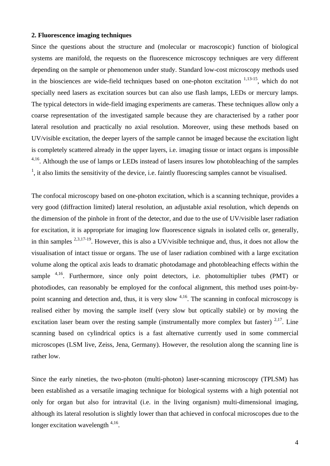#### **2. Fluorescence imaging techniques**

Since the questions about the structure and (molecular or macroscopic) function of biological systems are manifold, the requests on the fluorescence microscopy techniques are very different depending on the sample or phenomenon under study. Standard low-cost microscopy methods used in the biosciences are wide-field techniques based on one-photon excitation  $1,13-15$ , which do not specially need lasers as excitation sources but can also use flash lamps, LEDs or mercury lamps. The typical detectors in wide-field imaging experiments are cameras. These techniques allow only a coarse representation of the investigated sample because they are characterised by a rather poor lateral resolution and practically no axial resolution. Moreover, using these methods based on UV/visible excitation, the deeper layers of the sample cannot be imaged because the excitation light is completely scattered already in the upper layers, i.e. imaging tissue or intact organs is impossible <sup>4,16</sup>. Although the use of lamps or LEDs instead of lasers insures low photobleaching of the samples  $<sup>1</sup>$ , it also limits the sensitivity of the device, i.e. faintly fluorescing samples cannot be visualised.</sup>

The confocal microscopy based on one-photon excitation, which is a scanning technique, provides a very good (diffraction limited) lateral resolution, an adjustable axial resolution, which depends on the dimension of the pinhole in front of the detector, and due to the use of UV/visible laser radiation for excitation, it is appropriate for imaging low fluorescence signals in isolated cells or, generally, in thin samples  $^{2,3,17-19}$ . However, this is also a UV/visible technique and, thus, it does not allow the visualisation of intact tissue or organs. The use of laser radiation combined with a large excitation volume along the optical axis leads to dramatic photodamage and photobleaching effects within the sample  $4,16$ . Furthermore, since only point detectors, i.e. photomultiplier tubes (PMT) or photodiodes, can reasonably be employed for the confocal alignment, this method uses point-bypoint scanning and detection and, thus, it is very slow <sup>4,16</sup>. The scanning in confocal microscopy is realised either by moving the sample itself (very slow but optically stabile) or by moving the excitation laser beam over the resting sample (instrumentally more complex but faster)  $2,17$ . Line scanning based on cylindrical optics is a fast alternative currently used in some commercial microscopes (LSM live, Zeiss, Jena, Germany). However, the resolution along the scanning line is rather low.

Since the early nineties, the two-photon (multi-photon) laser-scanning microscopy (TPLSM) has been established as a versatile imaging technique for biological systems with a high potential not only for organ but also for intravital (i.e. in the living organism) multi-dimensional imaging, although its lateral resolution is slightly lower than that achieved in confocal microscopes due to the longer excitation wavelength  $4,16$ .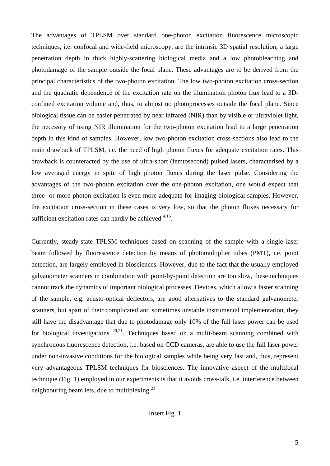The advantages of TPLSM over standard one-photon excitation fluorescence microscopic techniques, i.e. confocal and wide-field microscopy, are the intrinsic 3D spatial resolution, a large penetration depth in thick highly-scattering biological media and a low photobleaching and photodamage of the sample outside the focal plane. These advantages are to be derived from the principal characteristics of the two-photon excitation. The low two-photon excitation cross-section and the quadratic dependence of the excitation rate on the illumination photon flux lead to a 3Dconfined excitation volume and, thus, to almost no photoprocesses outside the focal plane. Since biological tissue can be easier penetrated by near infrared (NIR) than by visible or ultraviolet light, the necessity of using NIR illumination for the two-photon excitation lead to a large penetration depth in this kind of samples. However, low two-photon excitation cross-sections also lead to the main drawback of TPLSM, i.e. the need of high photon fluxes for adequate excitation rates. This drawback is counteracted by the use of ultra-short (femtosecond) pulsed lasers, characterised by a low averaged energy in spite of high photon fluxes during the laser pulse. Considering the advantages of the two-photon excitation over the one-photon excitation, one would expect that three- or more-photon excitation is even more adequate for imaging biological samples. However, the excitation cross-section in these cases is very low, so that the photon fluxes necessary for sufficient excitation rates can hardly be achieved  $4,16$ .

Currently, steady-state TPLSM techniques based on scanning of the sample with a single laser beam followed by fluorescence detection by means of photomultiplier tubes (PMT), i.e. point detection, are largely employed in biosciences. However, due to the fact that the usually employed galvanometer scanners in combination with point-by-point detection are too slow, these techniques cannot track the dynamics of important biological processes. Devices, which allow a faster scanning of the sample, e.g. acusto-optical deflectors, are good alternatives to the standard galvanometer scanners, but apart of their complicated and sometimes unstable instrumental implementation, they still have the disadvantage that due to photodamage only 10% of the full laser power can be used for biological investigations  $20,21$ . Techniques based on a multi-beam scanning combined with synchronous fluorescence detection, i.e. based on CCD cameras, are able to use the full laser power under non-invasive conditions for the biological samples while being very fast and, thus, represent very advantageous TPLSM techniques for biosciences. The innovative aspect of the multifocal technique (Fig. 1) employed in our experiments is that it avoids cross-talk, i.e. interference between neighbouring beam lets, due to multiplexing  $2^1$ .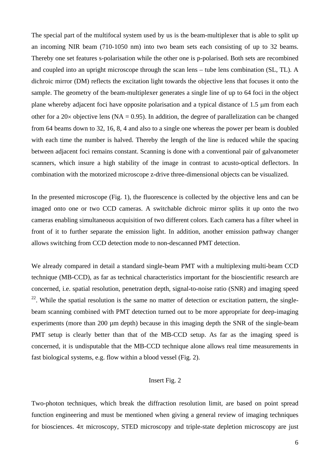The special part of the multifocal system used by us is the beam-multiplexer that is able to split up an incoming NIR beam (710-1050 nm) into two beam sets each consisting of up to 32 beams. Thereby one set features s-polarisation while the other one is p-polarised. Both sets are recombined and coupled into an upright microscope through the scan lens – tube lens combination (SL, TL). A dichroic mirror (DM) reflects the excitation light towards the objective lens that focuses it onto the sample. The geometry of the beam-multiplexer generates a single line of up to 64 foci in the object plane whereby adjacent foci have opposite polarisation and a typical distance of 1.5 μm from each other for a  $20 \times$  objective lens (NA = 0.95). In addition, the degree of parallelization can be changed from 64 beams down to 32, 16, 8, 4 and also to a single one whereas the power per beam is doubled with each time the number is halved. Thereby the length of the line is reduced while the spacing between adjacent foci remains constant. Scanning is done with a conventional pair of galvanometer scanners, which insure a high stability of the image in contrast to acusto-optical deflectors. In combination with the motorized microscope z-drive three-dimensional objects can be visualized.

In the presented microscope (Fig. 1), the fluorescence is collected by the objective lens and can be imaged onto one or two CCD cameras. A switchable dichroic mirror splits it up onto the two cameras enabling simultaneous acquisition of two different colors. Each camera has a filter wheel in front of it to further separate the emission light. In addition, another emission pathway changer allows switching from CCD detection mode to non-descanned PMT detection.

We already compared in detail a standard single-beam PMT with a multiplexing multi-beam CCD technique (MB-CCD), as far as technical characteristics important for the bioscientific research are concerned, i.e. spatial resolution, penetration depth, signal-to-noise ratio (SNR) and imaging speed  $^{22}$ . While the spatial resolution is the same no matter of detection or excitation pattern, the singlebeam scanning combined with PMT detection turned out to be more appropriate for deep-imaging experiments (more than 200 µm depth) because in this imaging depth the SNR of the single-beam PMT setup is clearly better than that of the MB-CCD setup. As far as the imaging speed is concerned, it is undisputable that the MB-CCD technique alone allows real time measurements in fast biological systems, e.g. flow within a blood vessel (Fig. 2).

# Insert Fig. 2

Two-photon techniques, which break the diffraction resolution limit, are based on point spread function engineering and must be mentioned when giving a general review of imaging techniques for biosciences.  $4\pi$  microscopy, STED microscopy and triple-state depletion microscopy are just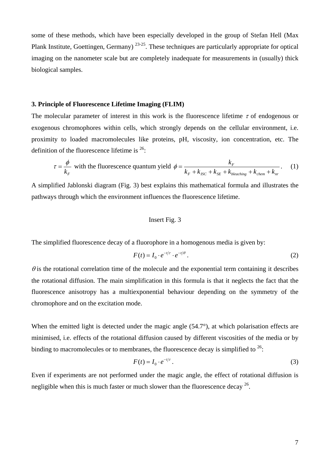some of these methods, which have been especially developed in the group of Stefan Hell (Max Plank Institute, Goettingen, Germany) <sup>23</sup>-25. These techniques are particularly appropriate for optical imaging on the nanometer scale but are completely inadequate for measurements in (usually) thick biological samples.

#### **3. Principle of Fluorescence Lifetime Imaging (FLIM)**

The molecular parameter of interest in this work is the fluorescence lifetime  $\tau$  of endogenous or exogenous chromophores within cells, which strongly depends on the cellular environment, i.e. proximity to loaded macromolecules like proteins, pH, viscosity, ion concentration, etc. The definition of the fluorescence lifetime is  $26$ :

$$
\tau = \frac{\phi}{k_F} \text{ with the fluorescence quantum yield } \phi = \frac{k_F}{k_F + k_{ISC} + k_{SE} + k_{bleaching} + k_{chem} + k_{nr}}. \tag{1}
$$

A simplified Jablonski diagram (Fig. 3) best explains this mathematical formula and illustrates the pathways through which the environment influences the fluorescence lifetime.

# Insert Fig. 3

The simplified fluorescence decay of a fluorophore in a homogenous media is given by:

$$
F(t) = I_0 \cdot e^{-t/\tau} \cdot e^{-t/\theta} \,. \tag{2}
$$

 $\theta$  is the rotational correlation time of the molecule and the exponential term containing it describes the rotational diffusion. The main simplification in this formula is that it neglects the fact that the fluorescence anisotropy has a multiexponential behaviour depending on the symmetry of the chromophore and on the excitation mode.

When the emitted light is detected under the magic angle (54.7°), at which polarisation effects are minimised, i.e. effects of the rotational diffusion caused by different viscosities of the media or by binding to macromolecules or to membranes, the fluorescence decay is simplified to  $26$ .

$$
F(t) = I_0 \cdot e^{-t/\tau} \,. \tag{3}
$$

Even if experiments are not performed under the magic angle, the effect of rotational diffusion is negligible when this is much faster or much slower than the fluorescence decay  $26$ .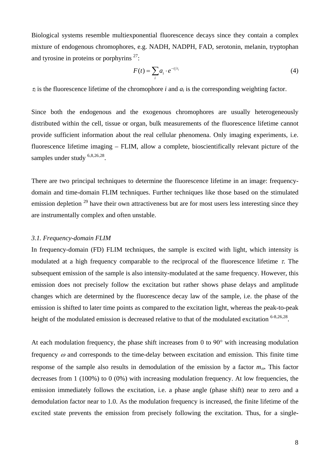Biological systems resemble multiexponential fluorescence decays since they contain a complex mixture of endogenous chromophores, e.g. NADH, NADPH, FAD, serotonin, melanin, tryptophan and tyrosine in proteins or porphyrins  $27$ :

$$
F(t) = \sum_{i} a_i \cdot e^{-t/\tau_i} \tag{4}
$$

 $\tau_i$  is the fluorescence lifetime of the chromophore *i* and  $a_i$  is the corresponding weighting factor.

Since both the endogenous and the exogenous chromophores are usually heterogeneously distributed within the cell, tissue or organ, bulk measurements of the fluorescence lifetime cannot provide sufficient information about the real cellular phenomena. Only imaging experiments, i.e. fluorescence lifetime imaging – FLIM, allow a complete, bioscientifically relevant picture of the samples under study  $6,8,26,28$ .

There are two principal techniques to determine the fluorescence lifetime in an image: frequencydomain and time-domain FLIM techniques. Further techniques like those based on the stimulated emission depletion  $^{29}$  have their own attractiveness but are for most users less interesting since they are instrumentally complex and often unstable.

#### *3.1. Frequency-domain FLIM*

In frequency-domain (FD) FLIM techniques, the sample is excited with light, which intensity is modulated at a high frequency comparable to the reciprocal of the fluorescence lifetime  $\tau$ . The subsequent emission of the sample is also intensity-modulated at the same frequency. However, this emission does not precisely follow the excitation but rather shows phase delays and amplitude changes which are determined by the fluorescence decay law of the sample, i.e. the phase of the emission is shifted to later time points as compared to the excitation light, whereas the peak-to-peak height of the modulated emission is decreased relative to that of the modulated excitation <sup>6-8,26,28</sup>.

At each modulation frequency, the phase shift increases from 0 to 90 $^{\circ}$  with increasing modulation frequency  $\omega$  and corresponds to the time-delay between excitation and emission. This finite time response of the sample also results in demodulation of the emission by a factor *m*ω. This factor decreases from 1 (100%) to 0 (0%) with increasing modulation frequency. At low frequencies, the emission immediately follows the excitation, i.e. a phase angle (phase shift) near to zero and a demodulation factor near to 1.0. As the modulation frequency is increased, the finite lifetime of the excited state prevents the emission from precisely following the excitation. Thus, for a single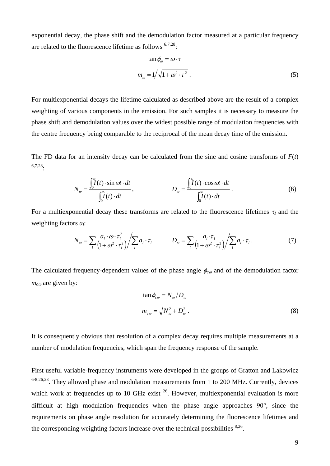exponential decay, the phase shift and the demodulation factor measured at a particular frequency are related to the fluorescence lifetime as follows  $6,7,28$ :

$$
\tan \phi_{\omega} = \omega \cdot \tau
$$
  

$$
m_{\omega} = 1/\sqrt{1 + \omega^2 \cdot \tau^2}
$$
 (5)

For multiexponential decays the lifetime calculated as described above are the result of a complex weighting of various components in the emission. For such samples it is necessary to measure the phase shift and demodulation values over the widest possible range of modulation frequencies with the centre frequency being comparable to the reciprocal of the mean decay time of the emission.

The FD data for an intensity decay can be calculated from the sine and cosine transforms of *F*(*t*) <sup>6</sup>,7,28:

$$
N_{\omega} = \frac{\int_0^{\infty} I(t) \cdot \sin \omega t \cdot dt}{\int_0^{\infty} I(t) \cdot dt}, \qquad D_{\omega} = \frac{\int_0^{\infty} I(t) \cdot \cos \omega t \cdot dt}{\int_0^{\infty} I(t) \cdot dt}.
$$
 (6)

For a multiexponential decay these transforms are related to the fluorescence lifetimes  $\tau_I$  and the weighting factors *ai*:

$$
N_{\omega} = \sum_{i} \frac{a_i \cdot \omega \cdot \tau_i^2}{\left(1 + \omega^2 \cdot \tau_i^2\right)} / \sum_{i} a_i \cdot \tau_i \qquad D_{\omega} = \sum_{i} \frac{a_i \cdot \tau_i}{\left(1 + \omega^2 \cdot \tau_i^2\right)} / \sum_{i} a_i \cdot \tau_i \,. \tag{7}
$$

The calculated frequency-dependent values of the phase angle  $\phi_{c\omega}$  and of the demodulation factor *mc*ω are given by:

$$
\tan \phi_{c\omega} = N_{\omega} / D_{\omega}
$$
  

$$
m_{c\omega} = \sqrt{N_{\omega}^2 + D_{\omega}^2}.
$$
 (8)

It is consequently obvious that resolution of a complex decay requires multiple measurements at a number of modulation frequencies, which span the frequency response of the sample.

First useful variable-frequency instruments were developed in the groups of Gratton and Lakowicz  $6-8,26,28$ . They allowed phase and modulation measurements from 1 to 200 MHz. Currently, devices which work at frequencies up to 10 GHz exist  $26$ . However, multiexponential evaluation is more difficult at high modulation frequencies when the phase angle approaches  $90^\circ$ , since the requirements on phase angle resolution for accurately determining the fluorescence lifetimes and the corresponding weighting factors increase over the technical possibilities <sup>8,26</sup>.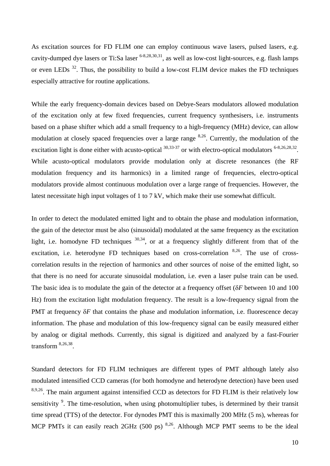As excitation sources for FD FLIM one can employ continuous wave lasers, pulsed lasers, e.g. cavity-dumped dye lasers or Ti:Sa laser  $6-8,28,30,31$ , as well as low-cost light-sources, e.g. flash lamps or even LEDs  $32$ . Thus, the possibility to build a low-cost FLIM device makes the FD techniques especially attractive for routine applications.

While the early frequency-domain devices based on Debye-Sears modulators allowed modulation of the excitation only at few fixed frequencies, current frequency synthesisers, i.e. instruments based on a phase shifter which add a small frequency to a high-frequency (MHz) device, can allow modulation at closely spaced frequencies over a large range <sup>8</sup>,26. Currently, the modulation of the excitation light is done either with acusto-optical  $30,33-37$  or with electro-optical modulators  $6-8,26,28,32$ . While acusto-optical modulators provide modulation only at discrete resonances (the RF modulation frequency and its harmonics) in a limited range of frequencies, electro-optical modulators provide almost continuous modulation over a large range of frequencies. However, the latest necessitate high input voltages of 1 to 7 kV, which make their use somewhat difficult.

In order to detect the modulated emitted light and to obtain the phase and modulation information, the gain of the detector must be also (sinusoidal) modulated at the same frequency as the excitation light, i.e. homodyne FD techniques  $30,34$ , or at a frequency slightly different from that of the excitation, i.e. heterodyne FD techniques based on cross-correlation <sup>8,26</sup>. The use of crosscorrelation results in the rejection of harmonics and other sources of noise of the emitted light, so that there is no need for accurate sinusoidal modulation, i.e. even a laser pulse train can be used. The basic idea is to modulate the gain of the detector at a frequency offset (δ*F* between 10 and 100 Hz) from the excitation light modulation frequency. The result is a low-frequency signal from the PMT at frequency δ*F* that contains the phase and modulation information, i.e. fluorescence decay information. The phase and modulation of this low-frequency signal can be easily measured either by analog or digital methods. Currently, this signal is digitized and analyzed by a fast-Fourier transform 8,26,38.

Standard detectors for FD FLIM techniques are different types of PMT although lately also modulated intensified CCD cameras (for both homodyne and heterodyne detection) have been used 8,9,26. The main argument against intensified CCD as detectors for FD FLIM is their relatively low sensitivity  $\degree$ . The time-resolution, when using photomultiplier tubes, is determined by their transit time spread (TTS) of the detector. For dynodes PMT this is maximally 200 MHz (5 ns), whereas for MCP PMTs it can easily reach 2GHz (500 ps) <sup>8,26</sup>. Although MCP PMT seems to be the ideal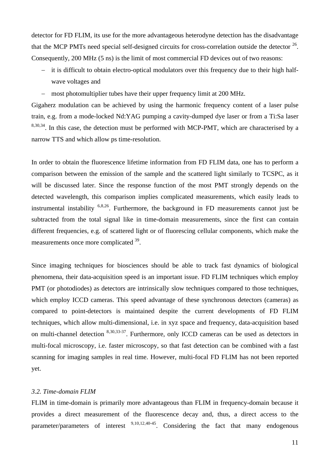detector for FD FLIM, its use for the more advantageous heterodyne detection has the disadvantage that the MCP PMTs need special self-designed circuits for cross-correlation outside the detector  $^{26}$ . Consequently, 200 MHz (5 ns) is the limit of most commercial FD devices out of two reasons:

- − it is difficult to obtain electro-optical modulators over this frequency due to their high halfwave voltages and
- − most photomultiplier tubes have their upper frequency limit at 200 MHz.

Gigaherz modulation can be achieved by using the harmonic frequency content of a laser pulse train, e.g. from a mode-locked Nd:YAG pumping a cavity-dumped dye laser or from a Ti:Sa laser  $8,30,34$ . In this case, the detection must be performed with MCP-PMT, which are characterised by a narrow TTS and which allow ps time-resolution.

In order to obtain the fluorescence lifetime information from FD FLIM data, one has to perform a comparison between the emission of the sample and the scattered light similarly to TCSPC, as it will be discussed later. Since the response function of the most PMT strongly depends on the detected wavelength, this comparison implies complicated measurements, which easily leads to instrumental instability  $6,8,26$ . Furthermore, the background in FD measurements cannot just be subtracted from the total signal like in time-domain measurements, since the first can contain different frequencies, e.g. of scattered light or of fluorescing cellular components, which make the measurements once more complicated 39.

Since imaging techniques for biosciences should be able to track fast dynamics of biological phenomena, their data-acquisition speed is an important issue. FD FLIM techniques which employ PMT (or photodiodes) as detectors are intrinsically slow techniques compared to those techniques, which employ ICCD cameras. This speed advantage of these synchronous detectors (cameras) as compared to point-detectors is maintained despite the current developments of FD FLIM techniques, which allow multi-dimensional, i.e. in xyz space and frequency, data-acquisition based on multi-channel detection <sup>8</sup>,30,33-37. Furthermore, only ICCD cameras can be used as detectors in multi-focal microscopy, i.e. faster microscopy, so that fast detection can be combined with a fast scanning for imaging samples in real time. However, multi-focal FD FLIM has not been reported yet.

## *3.2. Time-domain FLIM*

FLIM in time-domain is primarily more advantageous than FLIM in frequency-domain because it provides a direct measurement of the fluorescence decay and, thus, a direct access to the parameter/parameters of interest  $9,10,12,40-45$ . Considering the fact that many endogenous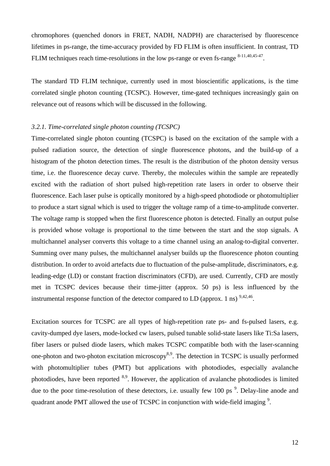chromophores (quenched donors in FRET, NADH, NADPH) are characterised by fluorescence lifetimes in ps-range, the time-accuracy provided by FD FLIM is often insufficient. In contrast, TD FLIM techniques reach time-resolutions in the low ps-range or even fs-range  $8-11,40,45-47$ .

The standard TD FLIM technique, currently used in most bioscientific applications, is the time correlated single photon counting (TCSPC). However, time-gated techniques increasingly gain on relevance out of reasons which will be discussed in the following.

## *3.2.1. Time-correlated single photon counting (TCSPC)*

Time-correlated single photon counting (TCSPC) is based on the excitation of the sample with a pulsed radiation source, the detection of single fluorescence photons, and the build-up of a histogram of the photon detection times. The result is the distribution of the photon density versus time, i.e. the fluorescence decay curve. Thereby, the molecules within the sample are repeatedly excited with the radiation of short pulsed high-repetition rate lasers in order to observe their fluorescence. Each laser pulse is optically monitored by a high-speed photodiode or photomultiplier to produce a start signal which is used to trigger the voltage ramp of a time-to-amplitude converter. The voltage ramp is stopped when the first fluorescence photon is detected. Finally an output pulse is provided whose voltage is proportional to the time between the start and the stop signals. A multichannel analyser converts this voltage to a time channel using an analog-to-digital converter. Summing over many pulses, the multichannel analyser builds up the fluorescence photon counting distribution. In order to avoid artefacts due to fluctuation of the pulse-amplitude, discriminators, e.g. leading-edge (LD) or constant fraction discriminators (CFD), are used. Currently, CFD are mostly met in TCSPC devices because their time-jitter (approx. 50 ps) is less influenced by the instrumental response function of the detector compared to LD (approx. 1 ns)  $^{9,42,46}$ .

Excitation sources for TCSPC are all types of high-repetition rate ps- and fs-pulsed lasers, e.g. cavity-dumped dye lasers, mode-locked cw lasers, pulsed tunable solid-state lasers like Ti:Sa lasers, fiber lasers or pulsed diode lasers, which makes TCSPC compatible both with the laser-scanning one-photon and two-photon excitation microscopy<sup>8,9</sup>. The detection in TCSPC is usually performed with photomultiplier tubes (PMT) but applications with photodiodes, especially avalanche photodiodes, have been reported <sup>8,9</sup>. However, the application of avalanche photodiodes is limited due to the poor time-resolution of these detectors, i.e. usually few 100 ps<sup>9</sup>. Delay-line anode and quadrant anode PMT allowed the use of TCSPC in conjunction with wide-field imaging  $\frac{9}{2}$ .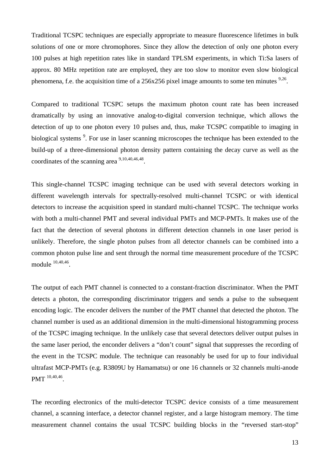Traditional TCSPC techniques are especially appropriate to measure fluorescence lifetimes in bulk solutions of one or more chromophores. Since they allow the detection of only one photon every 100 pulses at high repetition rates like in standard TPLSM experiments, in which Ti:Sa lasers of approx. 80 MHz repetition rate are employed, they are too slow to monitor even slow biological phenomena, f.e. the acquisition time of a  $256x256$  pixel image amounts to some ten minutes  $9,26$ .

Compared to traditional TCSPC setups the maximum photon count rate has been increased dramatically by using an innovative analog-to-digital conversion technique, which allows the detection of up to one photon every 10 pulses and, thus, make TCSPC compatible to imaging in biological systems<sup>9</sup>. For use in laser scanning microscopes the technique has been extended to the build-up of a three-dimensional photon density pattern containing the decay curve as well as the coordinates of the scanning area  $9,10,40,46,48$ .

This single-channel TCSPC imaging technique can be used with several detectors working in different wavelength intervals for spectrally-resolved multi-channel TCSPC or with identical detectors to increase the acquisition speed in standard multi-channel TCSPC. The technique works with both a multi-channel PMT and several individual PMTs and MCP-PMTs. It makes use of the fact that the detection of several photons in different detection channels in one laser period is unlikely. Therefore, the single photon pulses from all detector channels can be combined into a common photon pulse line and sent through the normal time measurement procedure of the TCSPC module 10,40,46.

The output of each PMT channel is connected to a constant-fraction discriminator. When the PMT detects a photon, the corresponding discriminator triggers and sends a pulse to the subsequent encoding logic. The encoder delivers the number of the PMT channel that detected the photon. The channel number is used as an additional dimension in the multi-dimensional histogramming process of the TCSPC imaging technique. In the unlikely case that several detectors deliver output pulses in the same laser period, the enconder delivers a "don't count" signal that suppresses the recording of the event in the TCSPC module. The technique can reasonably be used for up to four individual ultrafast MCP-PMTs (e.g. R3809U by Hamamatsu) or one 16 channels or 32 channels multi-anode PMT  $^{10,40,46}$ .

The recording electronics of the multi-detector TCSPC device consists of a time measurement channel, a scanning interface, a detector channel register, and a large histogram memory. The time measurement channel contains the usual TCSPC building blocks in the "reversed start-stop"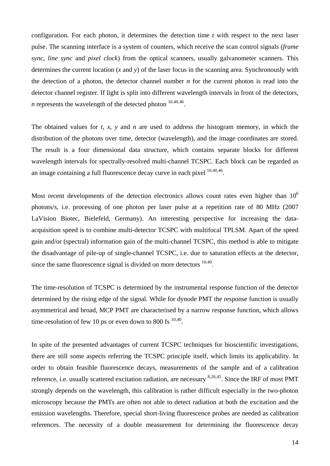configuration. For each photon, it determines the detection time *t* with respect to the next laser pulse. The scanning interface is a system of counters, which receive the scan control signals (*frame sync*, *line sync* and *pixel clock*) from the optical scanners, usually galvanometer scanners. This determines the current location (*x* and *y*) of the laser focus in the scanning area. Synchronously with the detection of a photon, the detector channel number *n* for the current photon is read into the detector channel register. If light is split into different wavelength intervals in front of the detectors, *n* represents the wavelength of the detected photon  $10,40,46$ .

The obtained values for *t*, *x*, *y* and *n* are used to address the histogram memory, in which the distribution of the photons over time, detector (wavelength), and the image coordinates are stored. The result is a four dimensional data structure, which contains separate blocks for different wavelength intervals for spectrally-resolved multi-channel TCSPC. Each block can be regarded as an image containing a full fluorescence decay curve in each pixel  $^{10,40,46}$ .

Most recent developments of the detection electronics allows count rates even higher than  $10<sup>6</sup>$ photons/s, i.e. processing of one photon per laser pulse at a repetition rate of 80 MHz (2007 LaVision Biotec, Bielefeld, Germany). An interesting perspective for increasing the dataacquisition speed is to combine multi-detector TCSPC with multifocal TPLSM. Apart of the speed gain and/or (spectral) information gain of the multi-channel TCSPC, this method is able to mitigate the disadvantage of pile-up of single-channel TCSPC, i.e. due to saturation effects at the detector, since the same fluorescence signal is divided on more detectors  $10,40$ .

The time-resolution of TCSPC is determined by the instrumental response function of the detector determined by the rising edge of the signal. While for dynode PMT the response function is usually asymmetrical and broad, MCP PMT are characterised by a narrow response function, which allows time-resolution of few 10 ps or even down to 800 fs  $^{10,40}$ .

In spite of the presented advantages of current TCSPC techniques for bioscientific investigations, there are still some aspects referring the TCSPC principle itself, which limits its applicability. In order to obtain feasible fluorescence decays, measurements of the sample and of a calibration reference, i.e. usually scattered excitation radiation, are necessary 8,26,45. Since the IRF of most PMT strongly depends on the wavelength, this calibration is rather difficult especially in the two-photon microscopy because the PMTs are often not able to detect radiation at both the excitation and the emission wavelengths. Therefore, special short-living fluorescence probes are needed as calibration references. The necessity of a double measurement for determining the fluorescence decay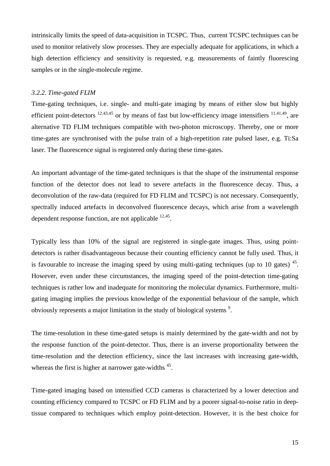intrinsically limits the speed of data-acquisition in TCSPC. Thus, current TCSPC techniques can be used to monitor relatively slow processes. They are especially adequate for applications, in which a high detection efficiency and sensitivity is requested, e.g. measurements of faintly fluorescing samples or in the single-molecule regime.

#### *3.2.2. Time-gated FLIM*

Time-gating techniques, i.e. single- and multi-gate imaging by means of either slow but highly efficient point-detectors  $12,43,45$  or by means of fast but low-efficiency image intensifiers  $11,41,49$ , are alternative TD FLIM techniques compatible with two-photon microscopy. Thereby, one or more time-gates are synchronised with the pulse train of a high-repetition rate pulsed laser, e.g. Ti:Sa laser. The fluorescence signal is registered only during these time-gates.

An important advantage of the time-gated techniques is that the shape of the instrumental response function of the detector does not lead to severe artefacts in the fluorescence decay. Thus, a deconvolution of the raw-data (required for FD FLIM and TCSPC) is not necessary. Consequently, spectrally induced artefacts in deconvolved fluorescence decays, which arise from a wavelength dependent response function, are not applicable  $^{12,45}$ .

Typically less than 10% of the signal are registered in single-gate images. Thus, using pointdetectors is rather disadvantageous because their counting efficiency cannot be fully used. Thus, it is favourable to increase the imaging speed by using multi-gating techniques (up to 10 gates)  $45$ . However, even under these circumstances, the imaging speed of the point-detection time-gating techniques is rather low and inadequate for monitoring the molecular dynamics. Furthermore, multigating imaging implies the previous knowledge of the exponential behaviour of the sample, which obviously represents a major limitation in the study of biological systems<sup>9</sup>.

The time-resolution in these time-gated setups is mainly determined by the gate-width and not by the response function of the point-detector. Thus, there is an inverse proportionality between the time-resolution and the detection efficiency, since the last increases with increasing gate-width, whereas the first is higher at narrower gate-widths  $45$ .

Time-gated imaging based on intensified CCD cameras is characterized by a lower detection and counting efficiency compared to TCSPC or FD FLIM and by a poorer signal-to-noise ratio in deeptissue compared to techniques which employ point-detection. However, it is the best choice for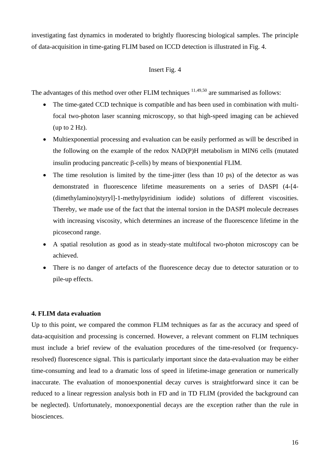investigating fast dynamics in moderated to brightly fluorescing biological samples. The principle of data-acquisition in time-gating FLIM based on ICCD detection is illustrated in Fig. 4.

# Insert Fig. 4

The advantages of this method over other FLIM techniques  $11,49,50$  are summarised as follows:

- The time-gated CCD technique is compatible and has been used in combination with multifocal two-photon laser scanning microscopy, so that high-speed imaging can be achieved (up to 2 Hz).
- Multiexponential processing and evaluation can be easily performed as will be described in the following on the example of the redox NAD(P)H metabolism in MIN6 cells (mutated insulin producing pancreatic β-cells) by means of biexponential FLIM.
- The time resolution is limited by the time-jitter (less than 10 ps) of the detector as was demonstrated in fluorescence lifetime measurements on a series of DASPI (4-[4- (dimethylamino)styryl]-1-methylpyridinium iodide) solutions of different viscosities. Thereby, we made use of the fact that the internal torsion in the DASPI molecule decreases with increasing viscosity, which determines an increase of the fluorescence lifetime in the picosecond range.
- A spatial resolution as good as in steady-state multifocal two-photon microscopy can be achieved.
- There is no danger of artefacts of the fluorescence decay due to detector saturation or to pile-up effects.

# **4. FLIM data evaluation**

Up to this point, we compared the common FLIM techniques as far as the accuracy and speed of data-acquisition and processing is concerned. However, a relevant comment on FLIM techniques must include a brief review of the evaluation procedures of the time-resolved (or frequencyresolved) fluorescence signal. This is particularly important since the data-evaluation may be either time-consuming and lead to a dramatic loss of speed in lifetime-image generation or numerically inaccurate. The evaluation of monoexponential decay curves is straightforward since it can be reduced to a linear regression analysis both in FD and in TD FLIM (provided the background can be neglected). Unfortunately, monoexponential decays are the exception rather than the rule in biosciences.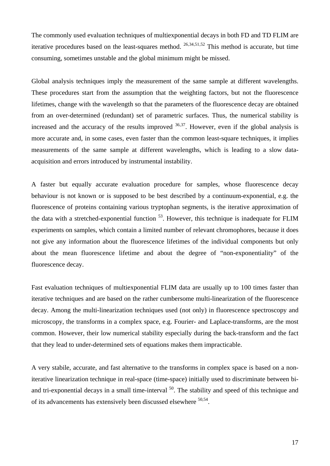The commonly used evaluation techniques of multiexponential decays in both FD and TD FLIM are iterative procedures based on the least-squares method.  $^{26,34,51,52}$  This method is accurate, but time consuming, sometimes unstable and the global minimum might be missed.

Global analysis techniques imply the measurement of the same sample at different wavelengths. These procedures start from the assumption that the weighting factors, but not the fluorescence lifetimes, change with the wavelength so that the parameters of the fluorescence decay are obtained from an over-determined (redundant) set of parametric surfaces. Thus, the numerical stability is increased and the accuracy of the results improved  $36,37$ . However, even if the global analysis is more accurate and, in some cases, even faster than the common least-square techniques, it implies measurements of the same sample at different wavelengths, which is leading to a slow dataacquisition and errors introduced by instrumental instability.

A faster but equally accurate evaluation procedure for samples, whose fluorescence decay behaviour is not known or is supposed to be best described by a continuum-exponential, e.g. the fluorescence of proteins containing various tryptophan segments, is the iterative approximation of the data with a stretched-exponential function  $53$ . However, this technique is inadequate for FLIM experiments on samples, which contain a limited number of relevant chromophores, because it does not give any information about the fluorescence lifetimes of the individual components but only about the mean fluorescence lifetime and about the degree of "non-exponentiality" of the fluorescence decay.

Fast evaluation techniques of multiexponential FLIM data are usually up to 100 times faster than iterative techniques and are based on the rather cumbersome multi-linearization of the fluorescence decay. Among the multi-linearization techniques used (not only) in fluorescence spectroscopy and microscopy, the transforms in a complex space, e.g. Fourier- and Laplace-transforms, are the most common. However, their low numerical stability especially during the back-transform and the fact that they lead to under-determined sets of equations makes them impracticable.

A very stabile, accurate, and fast alternative to the transforms in complex space is based on a noniterative linearization technique in real-space (time-space) initially used to discriminate between biand tri-exponential decays in a small time-interval <sup>50</sup>. The stability and speed of this technique and of its advancements has extensively been discussed elsewhere  $50,54$ .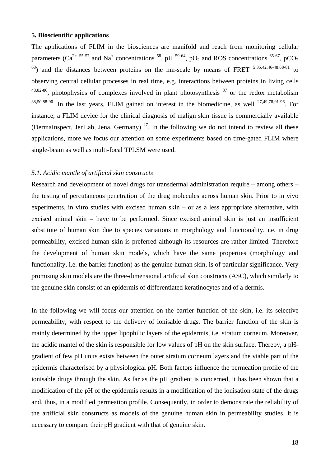#### **5. Bioscientific applications**

The applications of FLIM in the biosciences are manifold and reach from monitoring cellular parameters (Ca<sup>2+ 55-57</sup> and Na<sup>+</sup> concentrations <sup>58</sup>, pH <sup>59-64</sup>, pO<sub>2</sub> and ROS concentrations <sup>65-67</sup>, pCO<sub>2</sub>  $^{68}$ ) and the distances between proteins on the nm-scale by means of FRET  $^{5,35,42,46-48,68-81}$  to observing central cellular processes in real time, e.g. interactions between proteins in living cells  $48,82-86$ , photophysics of complexes involved in plant photosynthesis  $87$  or the redox metabolism  $38,50,88-90$ . In the last years, FLIM gained on interest in the biomedicine, as well  $27,49,78,91-96$ . For instance, a FLIM device for the clinical diagnosis of malign skin tissue is commercially available (DermaInspect, JenLab, Jena, Germany)<sup>27</sup>. In the following we do not intend to review all these applications, more we focus our attention on some experiments based on time-gated FLIM where single-beam as well as multi-focal TPLSM were used.

# *5.1. Acidic mantle of artificial skin constructs*

Research and development of novel drugs for transdermal administration require – among others – the testing of percutaneous penetration of the drug molecules across human skin. Prior to in vivo experiments, in vitro studies with excised human skin – or as a less appropriate alternative, with excised animal skin – have to be performed. Since excised animal skin is just an insufficient substitute of human skin due to species variations in morphology and functionality, i.e. in drug permeability, excised human skin is preferred although its resources are rather limited. Therefore the development of human skin models, which have the same properties (morphology and functionality, i.e. the barrier function) as the genuine human skin, is of particular significance. Very promising skin models are the three-dimensional artificial skin constructs (ASC), which similarly to the genuine skin consist of an epidermis of differentiated keratinocytes and of a dermis.

In the following we will focus our attention on the barrier function of the skin, i.e. its selective permeability, with respect to the delivery of ionisable drugs. The barrier function of the skin is mainly determined by the upper lipophilic layers of the epidermis, i.e. stratum corneum. Moreover, the acidic mantel of the skin is responsible for low values of pH on the skin surface. Thereby, a pHgradient of few pH units exists between the outer stratum corneum layers and the viable part of the epidermis characterised by a physiological pH. Both factors influence the permeation profile of the ionisable drugs through the skin. As far as the pH gradient is concerned, it has been shown that a modification of the pH of the epidermis results in a modification of the ionisation state of the drugs and, thus, in a modified permeation profile. Consequently, in order to demonstrate the reliability of the artificial skin constructs as models of the genuine human skin in permeability studies, it is necessary to compare their pH gradient with that of genuine skin.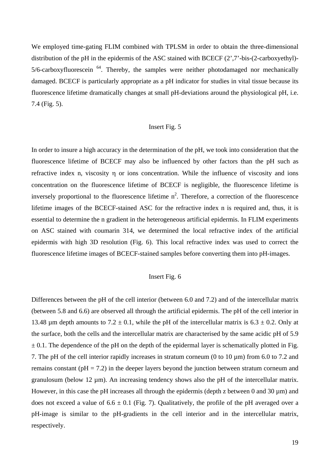We employed time-gating FLIM combined with TPLSM in order to obtain the three-dimensional distribution of the pH in the epidermis of the ASC stained with BCECF (2',7'-bis-(2-carboxyethyl)-  $5/6$ -carboxyfluorescein  $^{64}$ . Thereby, the samples were neither photodamaged nor mechanically damaged. BCECF is particularly appropriate as a pH indicator for studies in vital tissue because its fluorescence lifetime dramatically changes at small pH-deviations around the physiological pH, i.e. 7.4 (Fig. 5).

# Insert Fig. 5

In order to insure a high accuracy in the determination of the pH, we took into consideration that the fluorescence lifetime of BCECF may also be influenced by other factors than the pH such as refractive index n, viscosity η or ions concentration. While the influence of viscosity and ions concentration on the fluorescence lifetime of BCECF is negligible, the fluorescence lifetime is inversely proportional to the fluorescence lifetime  $n^2$ . Therefore, a correction of the fluorescence lifetime images of the BCECF-stained ASC for the refractive index n is required and, thus, it is essential to determine the n gradient in the heterogeneous artificial epidermis. In FLIM experiments on ASC stained with coumarin 314, we determined the local refractive index of the artificial epidermis with high 3D resolution (Fig. 6). This local refractive index was used to correct the fluorescence lifetime images of BCECF-stained samples before converting them into pH-images.

## Insert Fig. 6

Differences between the pH of the cell interior (between 6.0 and 7.2) and of the intercellular matrix (between 5.8 and 6.6) are observed all through the artificial epidermis. The pH of the cell interior in 13.48 µm depth amounts to  $7.2 \pm 0.1$ , while the pH of the intercellular matrix is  $6.3 \pm 0.2$ . Only at the surface, both the cells and the intercellular matrix are characterised by the same acidic pH of 5.9  $\pm$  0.1. The dependence of the pH on the depth of the epidermal layer is schematically plotted in Fig. 7. The pH of the cell interior rapidly increases in stratum corneum (0 to 10 µm) from 6.0 to 7.2 and remains constant ( $pH = 7.2$ ) in the deeper layers beyond the junction between stratum corneum and granulosum (below 12  $\mu$ m). An increasing tendency shows also the pH of the intercellular matrix. However, in this case the pH increases all through the epidermis (depth z between 0 and  $30 \mu m$ ) and does not exceed a value of  $6.6 \pm 0.1$  (Fig. 7). Qualitatively, the profile of the pH averaged over a pH-image is similar to the pH-gradients in the cell interior and in the intercellular matrix, respectively.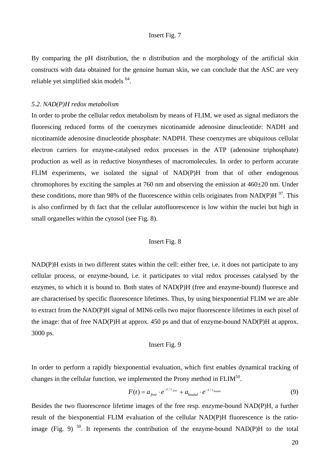## Insert Fig. 7

By comparing the pH distribution, the n distribution and the morphology of the artificial skin constructs with data obtained for the genuine human skin, we can conclude that the ASC are very reliable yet simplified skin models 64.

## *5.2. NAD(P)H redox metabolism*

In order to probe the cellular redox metabolism by means of FLIM, we used as signal mediators the fluorescing reduced forms of the coenzymes nicotinamide adenosine dinucleotide: NADH and nicotinamide adenosine dinucleotide phosphate: NADPH. These coenzymes are ubiquitous cellular electron carriers for enzyme-catalysed redox processes in the ATP (adenosine triphosphate) production as well as in reductive biosyntheses of macromolecules. In order to perform accurate FLIM experiments, we isolated the signal of NAD(P)H from that of other endogenous chromophores by exciting the samples at 760 nm and observing the emission at 460±20 nm. Under these conditions, more than 98% of the fluorescence within cells originates from NAD(P)H  $\frac{97}{1}$ . This is also confirmed by th fact that the cellular autofluorescence is low within the nuclei but high in small organelles within the cytosol (see Fig. 8).

## Insert Fig. 8

NAD(P)H exists in two different states within the cell: either free, i.e. it does not participate to any cellular process, or enzyme-bound, i.e. it participates to vital redox processes catalysed by the enzymes, to which it is bound to. Both states of NAD(P)H (free and enzyme-bound) fluoresce and are characterised by specific fluorescence lifetimes. Thus, by using biexponential FLIM we are able to extract from the NAD(P)H signal of MIN6 cells two major fluorescence lifetimes in each pixel of the image: that of free NAD(P)H at approx. 450 ps and that of enzyme-bound NAD(P)H at approx. 3000 ps.

## Insert Fig. 9

In order to perform a rapidly biexponential evaluation, which first enables dynamical tracking of changes in the cellular function, we implemented the Prony method in  $FLIM<sup>50</sup>$ .

$$
F(t) = a_{free} \cdot e^{-t/\tau_{free}} + a_{bound} \cdot e^{-t/\tau_{bound}}
$$
\n(9)

Besides the two fluorescence lifetime images of the free resp. enzyme-bound NAD(P)H, a further result of the biexponential FLIM evaluation of the cellular NAD(P)H fluorescence is the ratioimage (Fig. 9)  $50$ . It represents the contribution of the enzyme-bound NAD(P)H to the total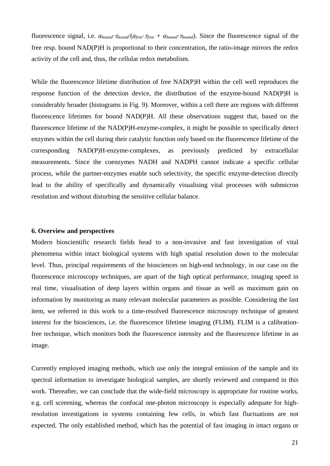fluorescence signal, i.e. *abound*·<sup>τ</sup>*bound*/(*afree*·<sup>τ</sup>*free* + *abound*·<sup>τ</sup>*bound*). Since the fluorescence signal of the free resp. bound NAD(P)H is proportional to their concentration, the ratio-image mirrors the redox activity of the cell and, thus, the cellular redox metabolism.

While the fluorescence lifetime distribution of free NAD(P)H within the cell well reproduces the response function of the detection device, the distribution of the enzyme-bound NAD(P)H is considerably broader (histograms in Fig. 9). Moreover, within a cell there are regions with different fluorescence lifetimes for bound NAD(P)H. All these observations suggest that, based on the fluorescence lifetime of the NAD(P)H-enzyme-complex, it might be possible to specifically detect enzymes within the cell during their catalytic function only based on the fluorescence lifetime of the corresponding NAD(P)H-enzyme-complexes, as previously predicted by extracellular measurements. Since the coenzymes NADH and NADPH cannot indicate a specific cellular process, while the partner-enzymes enable such selectivity, the specific enzyme-detection directly lead to the ability of specifically and dynamically visualising vital processes with submicron resolution and without disturbing the sensitive cellular balance.

## **6. Overview and perspectives**

Modern bioscientific research fields head to a non-invasive and fast investigation of vital phenomena within intact biological systems with high spatial resolution down to the molecular level. Thus, principal requirements of the biosciences on high-end technology, in our case on the fluorescence microscopy techniques, are apart of the high optical performance, imaging speed in real time, visualisation of deep layers within organs and tissue as well as maximum gain on information by monitoring as many relevant molecular parameters as possible. Considering the last item, we referred in this work to a time-resolved fluorescence microscopy technique of greatest interest for the biosciences, i.e. the fluorescence lifetime imaging (FLIM). FLIM is a calibrationfree technique, which monitors both the fluorescence intensity and the fluorescence lifetime in an image.

Currently employed imaging methods, which use only the integral emission of the sample and its spectral information to investigate biological samples, are shortly reviewed and compared in this work. Thereafter, we can conclude that the wide-field microscopy is appropriate for routine works, e.g. cell screening, whereas the confocal one-photon microscopy is especially adequate for highresolution investigations in systems containing few cells, in which fast fluctuations are not expected. The only established method, which has the potential of fast imaging in intact organs or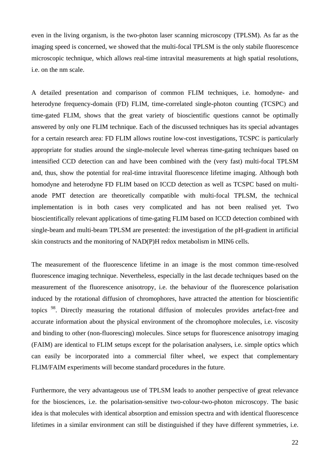even in the living organism, is the two-photon laser scanning microscopy (TPLSM). As far as the imaging speed is concerned, we showed that the multi-focal TPLSM is the only stabile fluorescence microscopic technique, which allows real-time intravital measurements at high spatial resolutions, i.e. on the nm scale.

A detailed presentation and comparison of common FLIM techniques, i.e. homodyne- and heterodyne frequency-domain (FD) FLIM, time-correlated single-photon counting (TCSPC) and time-gated FLIM, shows that the great variety of bioscientific questions cannot be optimally answered by only one FLIM technique. Each of the discussed techniques has its special advantages for a certain research area: FD FLIM allows routine low-cost investigations, TCSPC is particularly appropriate for studies around the single-molecule level whereas time-gating techniques based on intensified CCD detection can and have been combined with the (very fast) multi-focal TPLSM and, thus, show the potential for real-time intravital fluorescence lifetime imaging. Although both homodyne and heterodyne FD FLIM based on ICCD detection as well as TCSPC based on multianode PMT detection are theoretically compatible with multi-focal TPLSM, the technical implementation is in both cases very complicated and has not been realised yet. Two bioscientifically relevant applications of time-gating FLIM based on ICCD detection combined with single-beam and multi-beam TPLSM are presented: the investigation of the pH-gradient in artificial skin constructs and the monitoring of NAD(P)H redox metabolism in MIN6 cells.

The measurement of the fluorescence lifetime in an image is the most common time-resolved fluorescence imaging technique. Nevertheless, especially in the last decade techniques based on the measurement of the fluorescence anisotropy, i.e. the behaviour of the fluorescence polarisation induced by the rotational diffusion of chromophores, have attracted the attention for bioscientific topics <sup>98</sup>. Directly measuring the rotational diffusion of molecules provides artefact-free and accurate information about the physical environment of the chromophore molecules, i.e. viscosity and binding to other (non-fluorescing) molecules. Since setups for fluorescence anisotropy imaging (FAIM) are identical to FLIM setups except for the polarisation analysers, i.e. simple optics which can easily be incorporated into a commercial filter wheel, we expect that complementary FLIM/FAIM experiments will become standard procedures in the future.

Furthermore, the very advantageous use of TPLSM leads to another perspective of great relevance for the biosciences, i.e. the polarisation-sensitive two-colour-two-photon microscopy. The basic idea is that molecules with identical absorption and emission spectra and with identical fluorescence lifetimes in a similar environment can still be distinguished if they have different symmetries, i.e.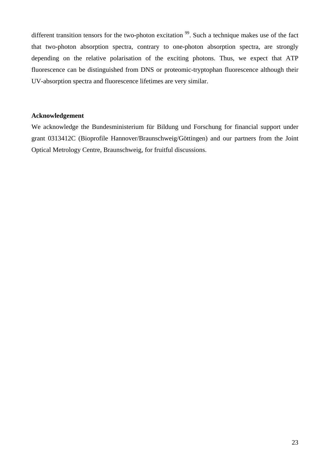different transition tensors for the two-photon excitation <sup>99</sup>. Such a technique makes use of the fact that two-photon absorption spectra, contrary to one-photon absorption spectra, are strongly depending on the relative polarisation of the exciting photons. Thus, we expect that ATP fluorescence can be distinguished from DNS or proteomic-tryptophan fluorescence although their UV-absorption spectra and fluorescence lifetimes are very similar.

## **Acknowledgement**

We acknowledge the Bundesministerium für Bildung und Forschung for financial support under grant 0313412C (Bioprofile Hannover/Braunschweig/Göttingen) and our partners from the Joint Optical Metrology Centre, Braunschweig, for fruitful discussions.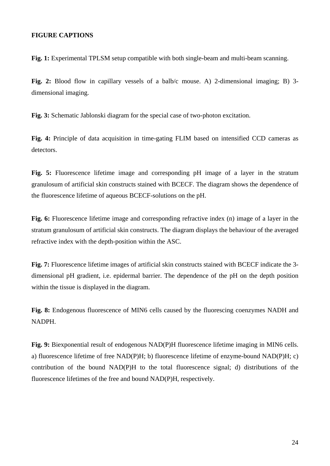## **FIGURE CAPTIONS**

**Fig. 1:** Experimental TPLSM setup compatible with both single-beam and multi-beam scanning.

**Fig. 2:** Blood flow in capillary vessels of a balb/c mouse. A) 2-dimensional imaging; B) 3 dimensional imaging.

**Fig. 3:** Schematic Jablonski diagram for the special case of two-photon excitation.

**Fig. 4:** Principle of data acquisition in time-gating FLIM based on intensified CCD cameras as detectors.

**Fig. 5:** Fluorescence lifetime image and corresponding pH image of a layer in the stratum granulosum of artificial skin constructs stained with BCECF. The diagram shows the dependence of the fluorescence lifetime of aqueous BCECF-solutions on the pH.

Fig. 6: Fluorescence lifetime image and corresponding refractive index (n) image of a layer in the stratum granulosum of artificial skin constructs. The diagram displays the behaviour of the averaged refractive index with the depth-position within the ASC.

**Fig. 7:** Fluorescence lifetime images of artificial skin constructs stained with BCECF indicate the 3 dimensional pH gradient, i.e. epidermal barrier. The dependence of the pH on the depth position within the tissue is displayed in the diagram.

**Fig. 8:** Endogenous fluorescence of MIN6 cells caused by the fluorescing coenzymes NADH and NADPH.

**Fig. 9:** Biexponential result of endogenous NAD(P)H fluorescence lifetime imaging in MIN6 cells. a) fluorescence lifetime of free NAD(P)H; b) fluorescence lifetime of enzyme-bound NAD(P)H; c) contribution of the bound NAD(P)H to the total fluorescence signal; d) distributions of the fluorescence lifetimes of the free and bound NAD(P)H, respectively.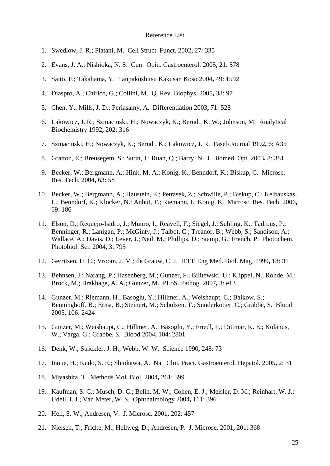## Reference List

- 1. Swedlow, J. R.; Platani, M. Cell Struct. Funct. 2002**,** 27: 335
- 2. Evans, J. A.; Nishioka, N. S. Curr. Opin. Gastroenterol. 2005**,** 21: 578
- 3. Saito, F.; Takahama, Y. Tanpakushitsu Kakusan Koso 2004**,** 49: 1592
- 4. Diaspro, A.; Chirico, G.; Collini, M. Q. Rev. Biophys. 2005**,** 38: 97
- 5. Chen, Y.; Mills, J. D.; Periasamy, A. Differentiation 2003**,** 71: 528
- 6. Lakowicz, J. R.; Szmacinski, H.; Nowaczyk, K.; Berndt, K. W.; Johnson, M. Analytical Biochemistry 1992**,** 202: 316
- 7. Szmacinski, H.; Nowaczyk, K.; Berndt, K.; Lakowicz, J. R. Faseb Journal 1992**,** 6: A35
- 8. Gratton, E.; Breusegem, S.; Sutin, J.; Ruan, Q.; Barry, N. J. Biomed. Opt. 2003**,** 8: 381
- 9. Becker, W.; Bergmann, A.; Hink, M. A.; Konig, K.; Benndorf, K.; Biskup, C. Microsc. Res. Tech. 2004**,** 63: 58
- 10. Becker, W.; Bergmann, A.; Haustein, E.; Petrasek, Z.; Schwille, P.; Biskup, C.; Kelbauskas, L.; Benndorf, K.; Klocker, N.; Anhut, T.; Riemann, I.; Konig, K. Microsc. Res. Tech. 2006**,** 69: 186
- 11. Elson, D.; Requejo-Isidro, J.; Munro, I.; Reavell, F.; Siegel, J.; Suhling, K.; Tadrous, P.; Benninger, R.; Lanigan, P.; McGinty, J.; Talbot, C.; Treanor, B.; Webb, S.; Sandison, A.; Wallace, A.; Davis, D.; Lever, J.; Neil, M.; Phillips, D.; Stamp, G.; French, P. Photochem. Photobiol. Sci. 2004**,** 3: 795
- 12. Gerritsen, H. C.; Vroom, J. M.; de Grauw, C. J. IEEE Eng Med. Biol. Mag. 1999**,** 18: 31
- 13. Behnsen, J.; Narang, P.; Hasenberg, M.; Gunzer, F.; Bilitewski, U.; Klippel, N.; Rohde, M.; Brock, M.; Brakhage, A. A.; Gunzer, M. PLoS. Pathog. 2007**,** 3: e13
- 14. Gunzer, M.; Riemann, H.; Basoglu, Y.; Hillmer, A.; Weishaupt, C.; Balkow, S.; Benninghoff, B.; Ernst, B.; Steinert, M.; Scholzen, T.; Sunderkotter, C.; Grabbe, S. Blood 2005**,** 106: 2424
- 15. Gunzer, M.; Weishaupt, C.; Hillmer, A.; Basoglu, Y.; Friedl, P.; Dittmar, K. E.; Kolanus, W.; Varga, G.; Grabbe, S. Blood 2004**,** 104: 2801
- 16. Denk, W.; Strickler, J. H.; Webb, W. W. Science 1990**,** 248: 73
- 17. Inoue, H.; Kudo, S. E.; Shiokawa, A. Nat. Clin. Pract. Gastroenterol. Hepatol. 2005**,** 2: 31
- 18. Miyashita, T. Methods Mol. Biol. 2004**,** 261: 399
- 19. Kaufman, S. C.; Musch, D. C.; Belin, M. W.; Cohen, E. J.; Meisler, D. M.; Reinhart, W. J.; Udell, I. J.; Van Meter, W. S. Ophthalmology 2004**,** 111: 396
- 20. Hell, S. W.; Andresen, V. J. Microsc. 2001**,** 202: 457
- 21. Nielsen, T.; Fricke, M.; Hellweg, D.; Andresen, P. J. Microsc. 2001**,** 201: 368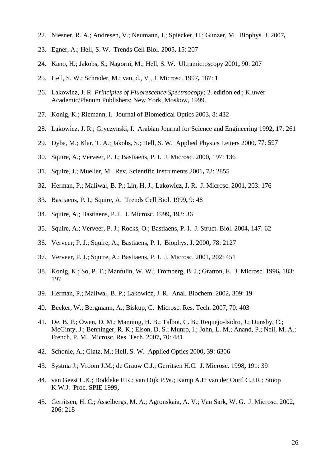- 22. Niesner, R. A.; Andresen, V.; Neumann, J.; Spiecker, H.; Gunzer, M. Biophys. J. 2007**,**
- 23. Egner, A.; Hell, S. W. Trends Cell Biol. 2005**,** 15: 207
- 24. Kano, H.; Jakobs, S.; Nagorni, M.; Hell, S. W. Ultramicroscopy 2001**,** 90: 207
- 25. Hell, S. W.; Schrader, M.; van, d., V , J. Microsc. 1997**,** 187: 1
- 26. Lakowicz, J. R. *Principles of Fluorescence Spectrsocopy;* 2. edition ed.; Kluwer Academic/Plenum Publishers: New York, Moskow, 1999.
- 27. Konig, K.; Riemann, I. Journal of Biomedical Optics 2003**,** 8: 432
- 28. Lakowicz, J. R.; Gryczynski, I. Arabian Journal for Science and Engineering 1992**,** 17: 261
- 29. Dyba, M.; Klar, T. A.; Jakobs, S.; Hell, S. W. Applied Physics Letters 2000**,** 77: 597
- 30. Squire, A.; Verveer, P. J.; Bastiaens, P. I. J. Microsc. 2000**,** 197: 136
- 31. Squire, J.; Mueller, M. Rev. Scientific Instruments 2001**,** 72: 2855
- 32. Herman, P.; Maliwal, B. P.; Lin, H. J.; Lakowicz, J. R. J. Microsc. 2001**,** 203: 176
- 33. Bastiaens, P. I.; Squire, A. Trends Cell Biol. 1999**,** 9: 48
- 34. Squire, A.; Bastiaens, P. I. J. Microsc. 1999**,** 193: 36
- 35. Squire, A.; Verveer, P. J.; Rocks, O.; Bastiaens, P. I. J. Struct. Biol. 2004**,** 147: 62
- 36. Verveer, P. J.; Squire, A.; Bastiaens, P. I. Biophys. J. 2000**,** 78: 2127
- 37. Verveer, P. J.; Squire, A.; Bastiaens, P. I. J. Microsc. 2001**,** 202: 451
- 38. Konig, K.; So, P. T.; Mantulin, W. W.; Tromberg, B. J.; Gratton, E. J. Microsc. 1996**,** 183: 197
- 39. Herman, P.; Maliwal, B. P.; Lakowicz, J. R. Anal. Biochem. 2002**,** 309: 19
- 40. Becker, W.; Bergmann, A.; Biskup, C. Microsc. Res. Tech. 2007**,** 70: 403
- 41. De, B. P.; Owen, D. M.; Manning, H. B.; Talbot, C. B.; Requejo-Isidro, J.; Dunsby, C.; McGinty, J.; Benninger, R. K.; Elson, D. S.; Munro, I.; John, L. M.; Anand, P.; Neil, M. A.; French, P. M. Microsc. Res. Tech. 2007**,** 70: 481
- 42. Schonle, A.; Glatz, M.; Hell, S. W. Applied Optics 2000**,** 39: 6306
- 43. Systma J.; Vroom J.M.; de Grauw C.J.; Gerritsen H.C. J. Microsc. 1998**,** 191: 39
- 44. van Geest L.K.; Boddeke F.R.; van Dijk P.W.; Kamp A.F; van der Oord C.J.R.; Stoop K.W.J. Proc. SPIE 1999**,**
- 45. Gerritsen, H. C.; Asselbergs, M. A.; Agronskaia, A. V.; Van Sark, W. G. J. Microsc. 2002**,** 206: 218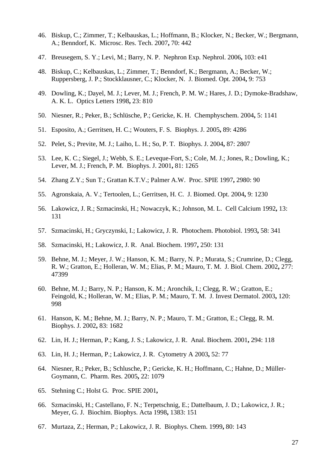- 46. Biskup, C.; Zimmer, T.; Kelbauskas, L.; Hoffmann, B.; Klocker, N.; Becker, W.; Bergmann, A.; Benndorf, K. Microsc. Res. Tech. 2007**,** 70: 442
- 47. Breusegem, S. Y.; Levi, M.; Barry, N. P. Nephron Exp. Nephrol. 2006**,** 103: e41
- 48. Biskup, C.; Kelbauskas, L.; Zimmer, T.; Benndorf, K.; Bergmann, A.; Becker, W.; Ruppersberg, J. P.; Stockklausner, C.; Klocker, N. J. Biomed. Opt. 2004**,** 9: 753
- 49. Dowling, K.; Dayel, M. J.; Lever, M. J.; French, P. M. W.; Hares, J. D.; Dymoke-Bradshaw, A. K. L. Optics Letters 1998**,** 23: 810
- 50. Niesner, R.; Peker, B.; Schlüsche, P.; Gericke, K. H. Chemphyschem. 2004**,** 5: 1141
- 51. Esposito, A.; Gerritsen, H. C.; Wouters, F. S. Biophys. J. 2005**,** 89: 4286
- 52. Pelet, S.; Previte, M. J.; Laiho, L. H.; So, P. T. Biophys. J. 2004**,** 87: 2807
- 53. Lee, K. C.; Siegel, J.; Webb, S. E.; Leveque-Fort, S.; Cole, M. J.; Jones, R.; Dowling, K.; Lever, M. J.; French, P. M. Biophys. J. 2001**,** 81: 1265
- 54. Zhang Z.Y.; Sun T.; Grattan K.T.V.; Palmer A.W. Proc. SPIE 1997**,** 2980: 90
- 55. Agronskaia, A. V.; Tertoolen, L.; Gerritsen, H. C. J. Biomed. Opt. 2004**,** 9: 1230
- 56. Lakowicz, J. R.; Szmacinski, H.; Nowaczyk, K.; Johnson, M. L. Cell Calcium 1992**,** 13: 131
- 57. Szmacinski, H.; Gryczynski, I.; Lakowicz, J. R. Photochem. Photobiol. 1993**,** 58: 341
- 58. Szmacinski, H.; Lakowicz, J. R. Anal. Biochem. 1997**,** 250: 131
- 59. Behne, M. J.; Meyer, J. W.; Hanson, K. M.; Barry, N. P.; Murata, S.; Crumrine, D.; Clegg, R. W.; Gratton, E.; Holleran, W. M.; Elias, P. M.; Mauro, T. M. J. Biol. Chem. 2002**,** 277: 47399
- 60. Behne, M. J.; Barry, N. P.; Hanson, K. M.; Aronchik, I.; Clegg, R. W.; Gratton, E.; Feingold, K.; Holleran, W. M.; Elias, P. M.; Mauro, T. M. J. Invest Dermatol. 2003**,** 120: 998
- 61. Hanson, K. M.; Behne, M. J.; Barry, N. P.; Mauro, T. M.; Gratton, E.; Clegg, R. M. Biophys. J. 2002**,** 83: 1682
- 62. Lin, H. J.; Herman, P.; Kang, J. S.; Lakowicz, J. R. Anal. Biochem. 2001**,** 294: 118
- 63. Lin, H. J.; Herman, P.; Lakowicz, J. R. Cytometry A 2003**,** 52: 77
- 64. Niesner, R.; Peker, B.; Schlusche, P.; Gericke, K. H.; Hoffmann, C.; Hahne, D.; Müller-Goymann, C. Pharm. Res. 2005**,** 22: 1079
- 65. Stehning C.; Holst G. Proc. SPIE 2001**,**
- 66. Szmacinski, H.; Castellano, F. N.; Terpetschnig, E.; Dattelbaum, J. D.; Lakowicz, J. R.; Meyer, G. J. Biochim. Biophys. Acta 1998**,** 1383: 151
- 67. Murtaza, Z.; Herman, P.; Lakowicz, J. R. Biophys. Chem. 1999**,** 80: 143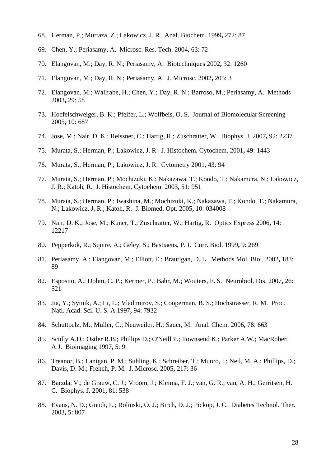- 68. Herman, P.; Murtaza, Z.; Lakowicz, J. R. Anal. Biochem. 1999**,** 272: 87
- 69. Chen, Y.; Periasamy, A. Microsc. Res. Tech. 2004**,** 63: 72
- 70. Elangovan, M.; Day, R. N.; Periasamy, A. Biotechniques 2002**,** 32: 1260
- 71. Elangovan, M.; Day, R. N.; Periasamy, A. J. Microsc. 2002**,** 205: 3
- 72. Elangovan, M.; Wallrabe, H.; Chen, Y.; Day, R. N.; Barroso, M.; Periasamy, A. Methods 2003**,** 29: 58
- 73. Hoefelschweiger, B. K.; Pfeifer, L.; Wolfbeis, O. S. Journal of Biomolecular Screening 2005**,** 10: 687
- 74. Jose, M.; Nair, D. K.; Reissner, C.; Hartig, R.; Zuschratter, W. Biophys. J. 2007**,** 92: 2237
- 75. Murata, S.; Herman, P.; Lakowicz, J. R. J. Histochem. Cytochem. 2001**,** 49: 1443
- 76. Murata, S.; Herman, P.; Lakowicz, J. R. Cytometry 2001**,** 43: 94
- 77. Murata, S.; Herman, P.; Mochizuki, K.; Nakazawa, T.; Kondo, T.; Nakamura, N.; Lakowicz, J. R.; Katoh, R. J. Histochem. Cytochem. 2003**,** 51: 951
- 78. Murata, S.; Herman, P.; Iwashina, M.; Mochizuki, K.; Nakazawa, T.; Kondo, T.; Nakamura, N.; Lakowicz, J. R.; Katoh, R. J. Biomed. Opt. 2005**,** 10: 034008
- 79. Nair, D. K.; Jose, M.; Kuner, T.; Zuschratter, W.; Hartig, R. Optics Express 2006**,** 14: 12217
- 80. Pepperkok, R.; Squire, A.; Geley, S.; Bastiaens, P. I. Curr. Biol. 1999**,** 9: 269
- 81. Periasamy, A.; Elangovan, M.; Elliott, E.; Brautigan, D. L. Methods Mol. Biol. 2002**,** 183: 89
- 82. Esposito, A.; Dohm, C. P.; Kermer, P.; Bahr, M.; Wouters, F. S. Neurobiol. Dis. 2007**,** 26: 521
- 83. Jia, Y.; Sytnik, A.; Li, L.; Vladimirov, S.; Cooperman, B. S.; Hochstrasser, R. M. Proc. Natl. Acad. Sci. U. S. A 1997**,** 94: 7932
- 84. Schuttpelz, M.; Müller, C.; Neuweiler, H.; Sauer, M. Anal. Chem. 2006**,** 78: 663
- 85. Scully A.D.; Ostler R.B.; Phillips D.; O'Neill P.; Townsend K.; Parker A.W.; MacRobert A.J. Bioimaging 1997**,** 5: 9
- 86. Treanor, B.; Lanigan, P. M.; Suhling, K.; Schreiber, T.; Munro, I.; Neil, M. A.; Phillips, D.; Davis, D. M.; French, P. M. J. Microsc. 2005**,** 217: 36
- 87. Barzda, V.; de Grauw, C. J.; Vroom, J.; Kleima, F. J.; van, G. R.; van, A. H.; Gerritsen, H. C. Biophys. J. 2001**,** 81: 538
- 88. Evans, N. D.; Gnudi, L.; Rolinski, O. J.; Birch, D. J.; Pickup, J. C. Diabetes Technol. Ther. 2003**,** 5: 807